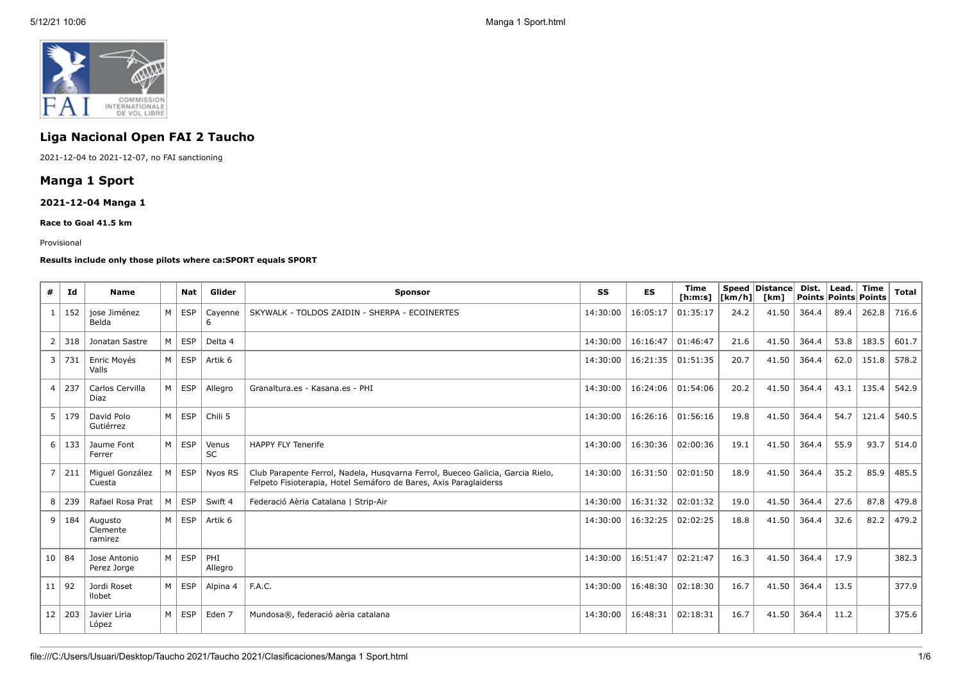

# **Liga Nacional Open FAI 2 Taucho**

2021-12-04 to 2021-12-07, no FAI sanctioning

# **Manga 1 Sport**

### **2021-12-04 Manga 1**

**Race to Goal 41.5 km**

#### Provisional

#### **Results include only those pilots where ca:SPORT equals SPORT**

| #              | Id            | <b>Name</b>                    |                | <b>Nat</b> | Glider             | <b>Sponsor</b>                                                                                                                                      | SS       | <b>ES</b> | <b>Time</b><br>[ <b>h</b> : <b>m</b> : <b>s</b> ] | [km/h] | Speed Distance<br>[km] | Dist.<br>Points Points Points | Lead. | <b>Time</b> | <b>Total</b> |
|----------------|---------------|--------------------------------|----------------|------------|--------------------|-----------------------------------------------------------------------------------------------------------------------------------------------------|----------|-----------|---------------------------------------------------|--------|------------------------|-------------------------------|-------|-------------|--------------|
| $\mathbf{1}$   | 152           | iose Jiménez<br>Belda          | M <sub>1</sub> | <b>ESP</b> | Cavenne<br>6       | SKYWALK - TOLDOS ZAIDIN - SHERPA - ECOINERTES                                                                                                       | 14:30:00 | 16:05:17  | 01:35:17                                          | 24.2   | 41.50                  | 364.4                         | 89.4  | 262.8       | 716.6        |
| $\overline{2}$ | 318           | Jonatan Sastre                 | м              | <b>ESP</b> | Delta 4            |                                                                                                                                                     | 14:30:00 | 16:16:47  | 01:46:47                                          | 21.6   | 41.50                  | 364.4                         | 53.8  | 183.5       | 601.7        |
|                | 3   731       | Enric Moyés<br>Valls           | M I            | ESP        | Artik 6            |                                                                                                                                                     | 14:30:00 | 16:21:35  | 01:51:35                                          | 20.7   | 41.50                  | 364.4                         | 62.0  | 151.8       | 578.2        |
| 4              | 237           | Carlos Cervilla<br>Diaz        | M              | <b>ESP</b> | Allegro            | Granaltura.es - Kasana.es - PHI                                                                                                                     | 14:30:00 | 16:24:06  | 01:54:06                                          | 20.2   | 41.50                  | 364.4                         | 43.1  | 135.4       | 542.9        |
| 5              | 179           | David Polo<br>Gutiérrez        | M              | <b>ESP</b> | Chili 5            |                                                                                                                                                     | 14:30:00 | 16:26:16  | 01:56:16                                          | 19.8   | 41.50                  | 364.4                         | 54.7  | 121.4       | 540.5        |
| 6              | 133           | Jaume Font<br>Ferrer           | M              | <b>ESP</b> | Venus<br><b>SC</b> | <b>HAPPY FLY Tenerife</b>                                                                                                                           | 14:30:00 | 16:30:36  | 02:00:36                                          | 19.1   | 41.50                  | 364.4                         | 55.9  | 93.7        | 514.0        |
| $\overline{7}$ | 211           | Miguel González<br>Cuesta      | M              | <b>ESP</b> | Nyos RS            | Club Parapente Ferrol, Nadela, Husgvarna Ferrol, Bueceo Galicia, Garcia Rielo,<br>Felpeto Fisioterapia, Hotel Semáforo de Bares, Axis Paraglaiderss | 14:30:00 | 16:31:50  | 02:01:50                                          | 18.9   | 41.50                  | 364.4                         | 35.2  | 85.9        | 485.5        |
| 8              | 239           | Rafael Rosa Prat               | м              | <b>ESP</b> | Swift 4            | Federació Aèria Catalana   Strip-Air                                                                                                                | 14:30:00 | 16:31:32  | 02:01:32                                          | 19.0   | 41.50                  | 364.4                         | 27.6  | 87.8        | 479.8        |
|                | 9   184       | Augusto<br>Clemente<br>ramirez | M I            | ESP        | Artik 6            |                                                                                                                                                     | 14:30:00 | 16:32:25  | 02:02:25                                          | 18.8   | 41.50                  | 364.4                         | 32.6  | 82.2        | 479.2        |
| 10   84        |               | Jose Antonio<br>Perez Jorge    | M              | <b>ESP</b> | PHI<br>Allegro     |                                                                                                                                                     | 14:30:00 | 16:51:47  | 02:21:47                                          | 16.3   | 41.50                  | 364.4                         | 17.9  |             | 382.3        |
| 11   92        |               | Jordi Roset<br>llobet          | $M \mid$       | ESP        | Alpina 4           | F.A.C.                                                                                                                                              | 14:30:00 | 16:48:30  | 02:18:30                                          | 16.7   | 41.50                  | 364.4                         | 13.5  |             | 377.9        |
|                | $12 \mid 203$ | Javier Liria<br>López          | M <sub>1</sub> | ESP        | Eden 7             | Mundosa®, federació aèria catalana                                                                                                                  | 14:30:00 | 16:48:31  | 02:18:31                                          | 16.7   | 41.50                  | 364.4                         | 11.2  |             | 375.6        |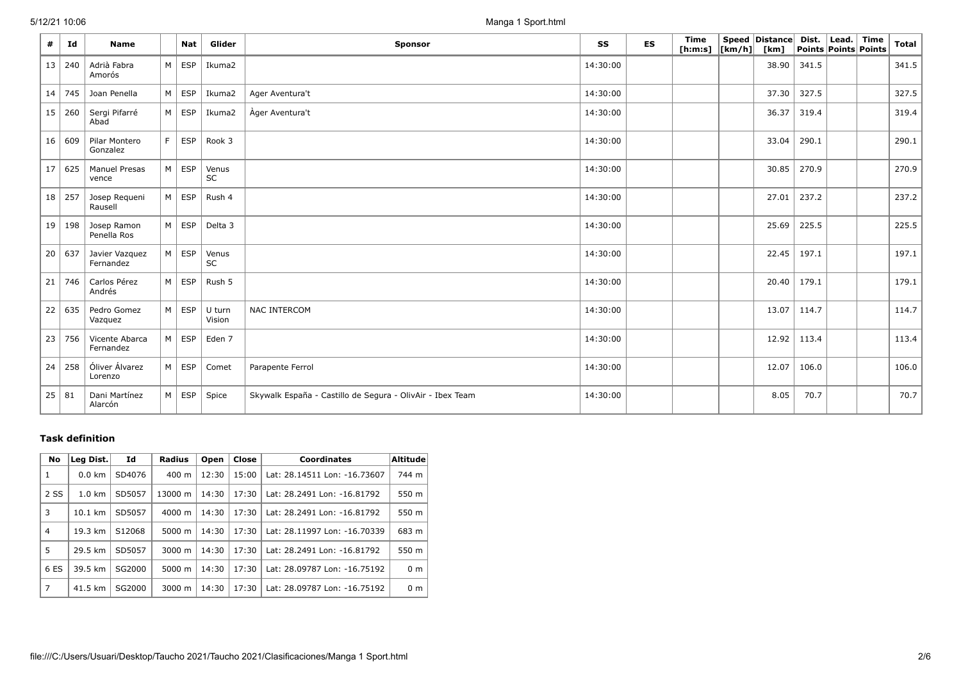5/12/21 10:06 Manga 1 Sport.html

| #               | Id       | <b>Name</b>                 |   | Nat                 | Glider             | <b>Sponsor</b>                                            | SS       | ES | Time<br>[h:m:s] $\vert$ [km/h] $\vert$ | Speed   Distance   Dist.   Lead.   Time<br>[km] | Points Points Points |  | <b>Total</b> |
|-----------------|----------|-----------------------------|---|---------------------|--------------------|-----------------------------------------------------------|----------|----|----------------------------------------|-------------------------------------------------|----------------------|--|--------------|
| 13              | 240      | Adrià Fabra<br>Amorós       |   | $M \vert ESP$       | Ikuma2             |                                                           | 14:30:00 |    |                                        | 38.90                                           | 341.5                |  | 341.5        |
| 14              | 745      | Joan Penella                |   | $M \vert ESP$       | Ikuma2             | Ager Aventura't                                           | 14:30:00 |    |                                        | 37.30                                           | 327.5                |  | 327.5        |
| 15              | 260      | Sergi Pifarré<br>Abad       |   | $M \vert ESP \vert$ | Ikuma2             | Àger Aventura't                                           | 14:30:00 |    |                                        | 36.37                                           | 319.4                |  | 319.4        |
|                 | 16 609   | Pilar Montero<br>Gonzalez   | F | ESP                 | Rook 3             |                                                           | 14:30:00 |    |                                        | 33.04                                           | 290.1                |  | 290.1        |
| 17 <sup>1</sup> | 625      | Manuel Presas<br>vence      |   | $M \vert$ ESP       | Venus<br>SC        |                                                           | 14:30:00 |    |                                        | 30.85                                           | 270.9                |  | 270.9        |
| 18 <sup>1</sup> | 257      | Josep Requeni<br>Rausell    |   | $M \vert ESP$       | Rush 4             |                                                           | 14:30:00 |    |                                        | 27.01                                           | 237.2                |  | 237.2        |
|                 | 19 198   | Josep Ramon<br>Penella Ros  |   | $M \vert ESP \vert$ | Delta 3            |                                                           | 14:30:00 |    |                                        | 25.69                                           | 225.5                |  | 225.5        |
|                 | 20   637 | Javier Vazquez<br>Fernandez |   | $M \vert ESP \vert$ | Venus<br><b>SC</b> |                                                           | 14:30:00 |    |                                        | 22.45                                           | 197.1                |  | 197.1        |
| 21              | 746      | Carlos Pérez<br>Andrés      |   | $M \vert ESP \vert$ | Rush 5             |                                                           | 14:30:00 |    |                                        | 20.40                                           | 179.1                |  | 179.1        |
| 22              | 635      | Pedro Gomez<br>Vazquez      |   | $M \vert$ ESP       | U turn<br>Vision   | <b>NAC INTERCOM</b>                                       | 14:30:00 |    |                                        | 13.07                                           | 114.7                |  | 114.7        |
| 23              | 756      | Vicente Abarca<br>Fernandez |   | $M \vert ESP \vert$ | Eden 7             |                                                           | 14:30:00 |    |                                        | 12.92                                           | 113.4                |  | 113.4        |
| 24              | 258      | Óliver Álvarez<br>Lorenzo   |   | $M \vert ESP \vert$ | Comet              | Parapente Ferrol                                          | 14:30:00 |    |                                        | 12.07                                           | 106.0                |  | 106.0        |
|                 | 25 81    | Dani Martínez<br>Alarcón    |   | $M \vert ESP \vert$ | Spice              | Skywalk España - Castillo de Segura - OlivAir - Ibex Team | 14:30:00 |    |                                        | 8.05                                            | 70.7                 |  | 70.7         |

## **Task definition**

| No   | Leg Dist.         | Id     | Radius             | Open  | Close | <b>Coordinates</b>           | Altitude       |
|------|-------------------|--------|--------------------|-------|-------|------------------------------|----------------|
| 1    | $0.0 \text{ km}$  | SD4076 | $400 \text{ m}$    | 12:30 | 15:00 | Lat: 28.14511 Lon: -16.73607 | 744 m          |
| 2 SS | $1.0 \text{ km}$  | SD5057 | 13000 m            | 14:30 | 17:30 | Lat: 28.2491 Lon: -16.81792  | 550 m          |
| 3    | $10.1 \text{ km}$ | SD5057 | $4000 \; \text{m}$ | 14:30 | 17:30 | Lat: 28.2491 Lon: -16.81792  | 550 m          |
| 4    | 19.3 km           | S12068 | 5000 m             | 14:30 | 17:30 | Lat: 28.11997 Lon: -16.70339 | 683 m          |
| 5    | 29.5 km           | SD5057 | 3000 m             | 14:30 | 17:30 | Lat: 28.2491 Lon: -16.81792  | 550 m          |
| 6 ES | 39.5 km           | SG2000 | 5000 m             | 14:30 | 17:30 | Lat: 28.09787 Lon: -16.75192 | 0 <sub>m</sub> |
| 7    | 41.5 km           | SG2000 | 3000 m             | 14:30 | 17:30 | Lat: 28.09787 Lon: -16.75192 | 0 <sub>m</sub> |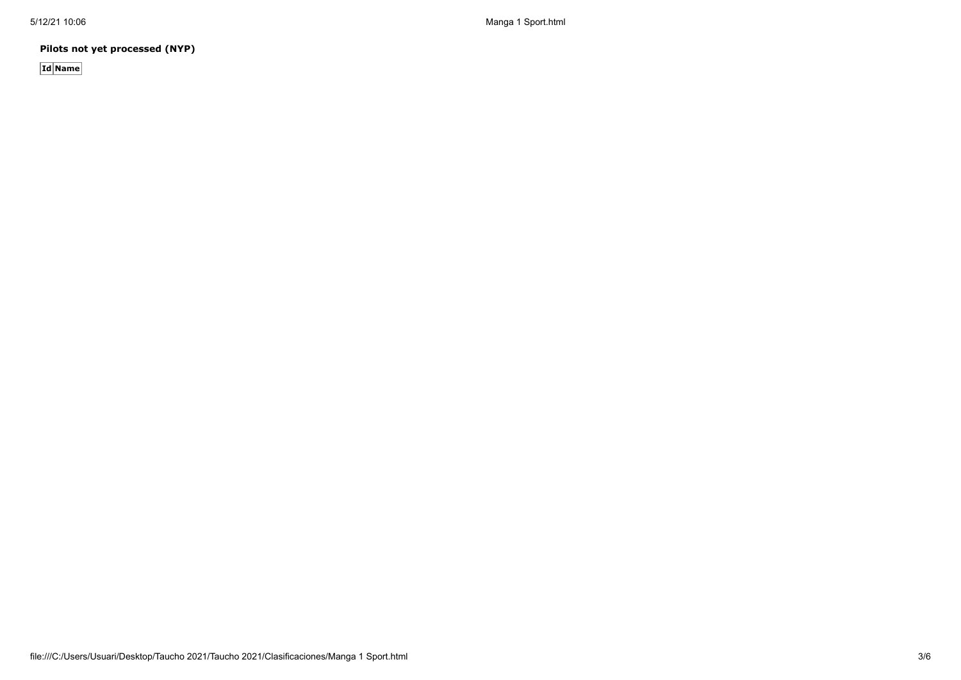5/12/21 10:06 Manga 1 Sport.html

**Pilots not yet processed (NYP)**

**Id Name**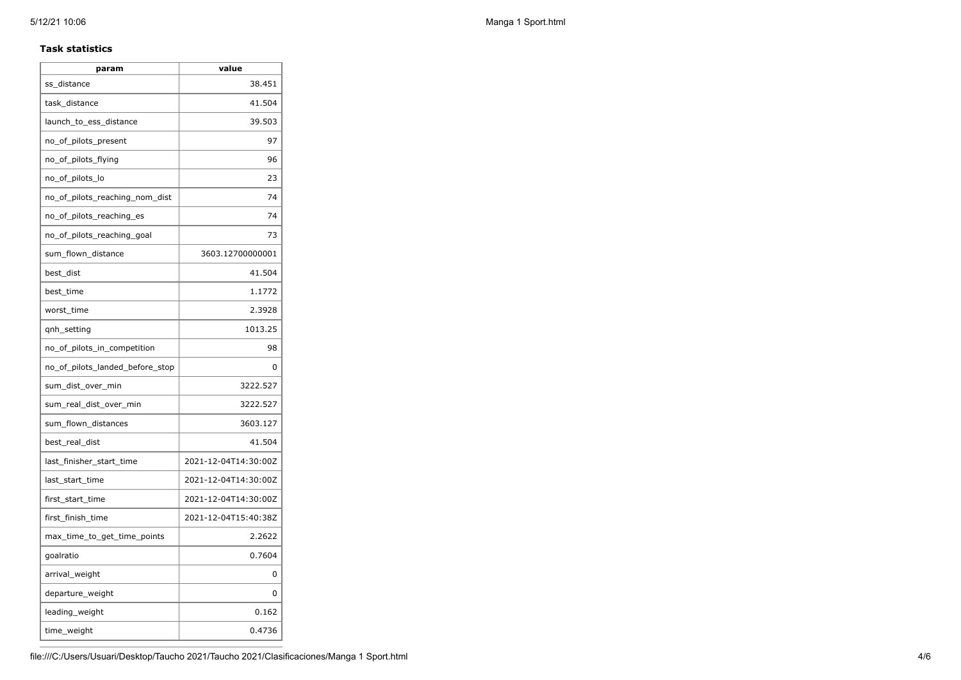#### **Task statistics**

| param                           | value                |
|---------------------------------|----------------------|
| ss distance                     | 38.451               |
| task distance                   | 41.504               |
| launch_to_ess_distance          | 39.503               |
| no_of_pilots_present            | 97                   |
| no_of_pilots_flying             | 96                   |
| no_of_pilots_lo                 | 23                   |
| no_of_pilots_reaching_nom_dist  | 74                   |
| no_of_pilots_reaching_es        | 74                   |
| no_of_pilots_reaching_goal      | 73                   |
| sum_flown_distance              | 3603.12700000001     |
| best_dist                       | 41.504               |
| best time                       | 1.1772               |
| worst time                      | 2.3928               |
| qnh_setting                     | 1013.25              |
| no_of_pilots_in_competition     | 98                   |
| no_of_pilots_landed_before_stop | 0                    |
| sum_dist_over_min               | 3222.527             |
| sum_real_dist_over_min          | 3222.527             |
| sum_flown_distances             | 3603.127             |
| best_real_dist                  | 41.504               |
| last_finisher_start_time        | 2021-12-04T14:30:00Z |
| last_start_time                 | 2021-12-04T14:30:00Z |
| first_start_time                | 2021-12-04T14:30:00Z |
| first_finish_time               | 2021-12-04T15:40:38Z |
| max_time_to_get_time_points     | 2.2622               |
| goalratio                       | 0.7604               |
| arrival_weight                  | 0                    |
| departure_weight                | 0                    |
| leading_weight                  | 0.162                |
| time_weight                     | 0.4736               |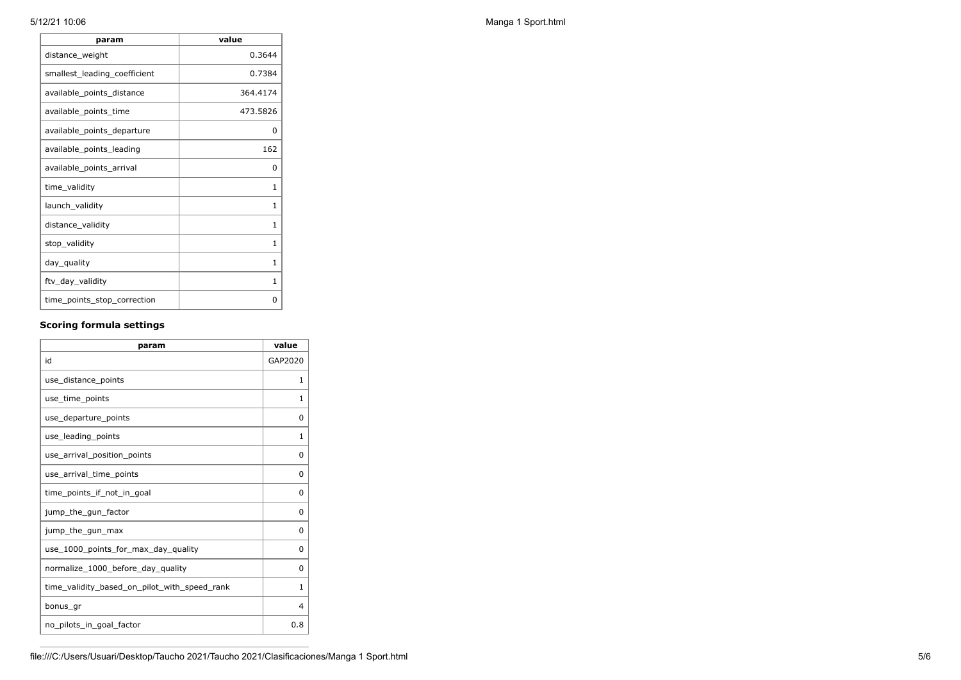| param                        | value        |
|------------------------------|--------------|
| distance_weight              | 0.3644       |
| smallest_leading_coefficient | 0.7384       |
| available_points_distance    | 364.4174     |
| available_points_time        | 473.5826     |
| available_points_departure   | 0            |
| available_points_leading     | 162          |
| available_points_arrival     | 0            |
| time_validity                | 1            |
| launch_validity              | 1            |
| distance_validity            | 1            |
| stop_validity                | $\mathbf{1}$ |
| day_quality                  | 1            |
| ftv_day_validity             | $\mathbf{1}$ |
| time_points_stop_correction  | 0            |

### **Scoring formula settings**

| param                                        | value        |
|----------------------------------------------|--------------|
| id                                           | GAP2020      |
| use distance points                          | 1            |
| use_time_points                              | 1            |
| use_departure_points                         | 0            |
| use_leading_points                           | $\mathbf{1}$ |
| use arrival position points                  | 0            |
| use arrival time points                      | 0            |
| time_points_if_not_in_goal                   | $\Omega$     |
| jump_the_gun_factor                          | $\Omega$     |
| jump_the_gun_max                             | $\Omega$     |
| use_1000_points_for_max_day_quality          | $\Omega$     |
| normalize_1000_before_day_quality            | 0            |
| time_validity_based_on_pilot_with_speed_rank | 1            |
| bonus gr                                     | 4            |
| no pilots in goal factor                     | 0.8          |

5/12/21 10:06 Manga 1 Sport.html